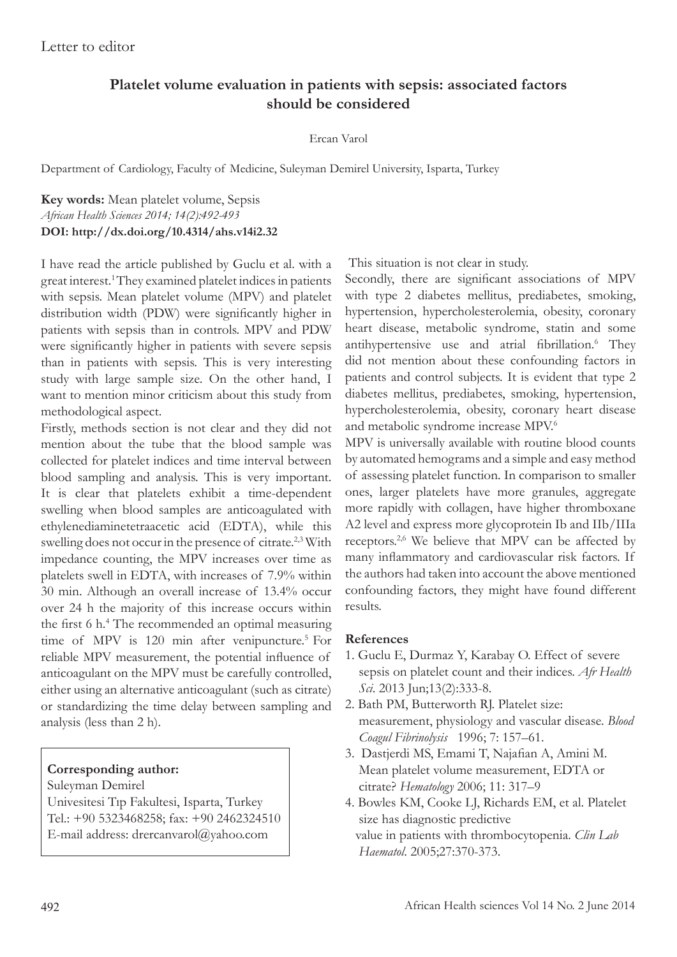# **Platelet volume evaluation in patients with sepsis: associated factors should be considered**

#### Ercan Varol

Department of Cardiology, Faculty of Medicine, Suleyman Demirel University, Isparta, Turkey

### **Key words:** Mean platelet volume, Sepsis *African Health Sciences 2014; 14(2):492-493* **DOI: http://dx.doi.org/10.4314/ahs.v14i2.32**

I have read the article published by Guclu et al. with a great interest.<sup>1</sup> They examined platelet indices in patients with sepsis. Mean platelet volume (MPV) and platelet distribution width (PDW) were significantly higher in patients with sepsis than in controls. MPV and PDW were significantly higher in patients with severe sepsis than in patients with sepsis. This is very interesting study with large sample size. On the other hand, I want to mention minor criticism about this study from methodological aspect.

Firstly, methods section is not clear and they did not mention about the tube that the blood sample was collected for platelet indices and time interval between blood sampling and analysis. This is very important. It is clear that platelets exhibit a time-dependent swelling when blood samples are anticoagulated with ethylenediaminetetraacetic acid (EDTA), while this swelling does not occur in the presence of citrate.<sup>2,3</sup> With impedance counting, the MPV increases over time as platelets swell in EDTA, with increases of 7.9% within 30 min. Although an overall increase of 13.4% occur over 24 h the majority of this increase occurs within the first 6 h.<sup>4</sup> The recommended an optimal measuring time of MPV is 120 min after venipuncture.<sup>5</sup> For reliable MPV measurement, the potential influence of anticoagulant on the MPV must be carefully controlled, either using an alternative anticoagulant (such as citrate) or standardizing the time delay between sampling and analysis (less than 2 h).

### **Corresponding author:**

Suleyman Demirel Univesitesi Tıp Fakultesi, Isparta, Turkey Tel.: +90 5323468258; fax: +90 2462324510 E-mail address: drercanvarol@yahoo.com

This situation is not clear in study.

Secondly, there are significant associations of MPV with type 2 diabetes mellitus, prediabetes, smoking, hypertension, hypercholesterolemia, obesity, coronary heart disease, metabolic syndrome, statin and some antihypertensive use and atrial fibrillation.<sup>6</sup> They did not mention about these confounding factors in patients and control subjects. It is evident that type 2 diabetes mellitus, prediabetes, smoking, hypertension, hypercholesterolemia, obesity, coronary heart disease and metabolic syndrome increase MPV.<sup>6</sup>

MPV is universally available with routine blood counts by automated hemograms and a simple and easy method of assessing platelet function. In comparison to smaller ones, larger platelets have more granules, aggregate more rapidly with collagen, have higher thromboxane A2 level and express more glycoprotein Ib and IIb/IIIa receptors.<sup>2,6</sup> We believe that MPV can be affected by many inflammatory and cardiovascular risk factors. If the authors had taken into account the above mentioned confounding factors, they might have found different results.

## **References**

- 1. Guclu E, Durmaz Y, Karabay O. Effect of severe sepsis on platelet count and their indices. *Afr Health Sci*. 2013 Jun;13(2):333-8.
- 2. Bath PM, Butterworth RJ. Platelet size: measurement, physiology and vascular disease. *Blood Coagul Fibrinolysis* 1996; 7: 157–61.
- 3. Dastjerdi MS, Emami T, Najafian A, Amini M. Mean platelet volume measurement, EDTA or citrate? *Hematology* 2006; 11: 317–9
- 4. Bowles KM, Cooke LJ, Richards EM, et al. Platelet size has diagnostic predictive value in patients with thrombocytopenia. *Clin Lab Haematol*. 2005;27:370-373.